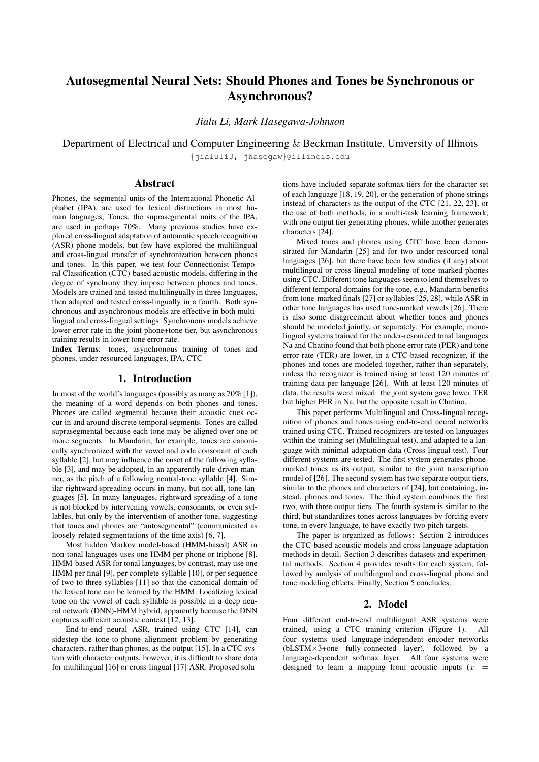# Autosegmental Neural Nets: Should Phones and Tones be Synchronous or Asynchronous?

*Jialu Li, Mark Hasegawa-Johnson*

Department of Electrical and Computer Engineering & Beckman Institute, University of Illinois {jialuli3, jhasegaw}@illinois.edu

## Abstract

Phones, the segmental units of the International Phonetic Alphabet (IPA), are used for lexical distinctions in most human languages; Tones, the suprasegmental units of the IPA, are used in perhaps 70%. Many previous studies have explored cross-lingual adaptation of automatic speech recognition (ASR) phone models, but few have explored the multilingual and cross-lingual transfer of synchronization between phones and tones. In this paper, we test four Connectionist Temporal Classification (CTC)-based acoustic models, differing in the degree of synchrony they impose between phones and tones. Models are trained and tested multilingually in three languages, then adapted and tested cross-lingually in a fourth. Both synchronous and asynchronous models are effective in both multilingual and cross-lingual settings. Synchronous models achieve lower error rate in the joint phone+tone tier, but asynchronous training results in lower tone error rate.

Index Terms: tones, asynchronous training of tones and phones, under-resourced languages, IPA, CTC

#### 1. Introduction

In most of the world's languages (possibly as many as 70% [1]), the meaning of a word depends on both phones and tones. Phones are called segmental because their acoustic cues occur in and around discrete temporal segments. Tones are called suprasegmental because each tone may be aligned over one or more segments. In Mandarin, for example, tones are canonically synchronized with the vowel and coda consonant of each syllable [2], but may influence the onset of the following syllable [3], and may be adopted, in an apparently rule-driven manner, as the pitch of a following neutral-tone syllable [4]. Similar rightward spreading occurs in many, but not all, tone languages [5]. In many languages, rightward spreading of a tone is not blocked by intervening vowels, consonants, or even syllables, but only by the intervention of another tone, suggesting that tones and phones are "autosegmental" (communicated as loosely-related segmentations of the time axis) [6, 7].

Most hidden Markov model-based (HMM-based) ASR in non-tonal languages uses one HMM per phone or triphone [8]. HMM-based ASR for tonal languages, by contrast, may use one HMM per final [9], per complete syllable [10], or per sequence of two to three syllables [11] so that the canonical domain of the lexical tone can be learned by the HMM. Localizing lexical tone on the vowel of each syllable is possible in a deep neural network (DNN)-HMM hybrid, apparently because the DNN captures sufficient acoustic context [12, 13].

End-to-end neural ASR, trained using CTC [14], can sidestep the tone-to-phone alignment problem by generating characters, rather than phones, as the output [15]. In a CTC system with character outputs, however, it is difficult to share data for multilingual [16] or cross-lingual [17] ASR. Proposed solutions have included separate softmax tiers for the character set of each language [18, 19, 20], or the generation of phone strings instead of characters as the output of the CTC [21, 22, 23], or the use of both methods, in a multi-task learning framework, with one output tier generating phones, while another generates characters [24].

Mixed tones and phones using CTC have been demonstrated for Mandarin [25] and for two under-resourced tonal languages [26], but there have been few studies (if any) about multilingual or cross-lingual modeling of tone-marked-phones using CTC. Different tone languages seem to lend themselves to different temporal domains for the tone, e.g., Mandarin benefits from tone-marked finals [27] or syllables [25, 28], while ASR in other tone languages has used tone-marked vowels [26]. There is also some disagreement about whether tones and phones should be modeled jointly, or separately. For example, monolingual systems trained for the under-resourced tonal languages Na and Chatino found that both phone error rate (PER) and tone error rate (TER) are lower, in a CTC-based recognizer, if the phones and tones are modeled together, rather than separately, unless the recognizer is trained using at least 120 minutes of training data per language [26]. With at least 120 minutes of data, the results were mixed: the joint system gave lower TER but higher PER in Na, but the opposite result in Chatino.

This paper performs Multilingual and Cross-lingual recognition of phones and tones using end-to-end neural networks trained using CTC. Trained recognizers are tested on languages within the training set (Multilingual test), and adapted to a language with minimal adaptation data (Cross-lingual test). Four different systems are tested. The first system generates phonemarked tones as its output, similar to the joint transcription model of [26]. The second system has two separate output tiers, similar to the phones and characters of [24], but containing, instead, phones and tones. The third system combines the first two, with three output tiers. The fourth system is similar to the third, but standardizes tones across languages by forcing every tone, in every language, to have exactly two pitch targets.

The paper is organized as follows: Section 2 introduces the CTC-based acoustic models and cross-language adaptation methods in detail. Section 3 describes datasets and experimental methods. Section 4 provides results for each system, followed by analysis of multilingual and cross-lingual phone and tone modeling effects. Finally, Section 5 concludes.

#### 2. Model

Four different end-to-end multilingual ASR systems were trained, using a CTC training criterion (Figure 1). All four systems used language-independent encoder networks (bLSTM×3+one fully-connected layer), followed by a language-dependent softmax layer. All four systems were designed to learn a mapping from acoustic inputs  $(x =$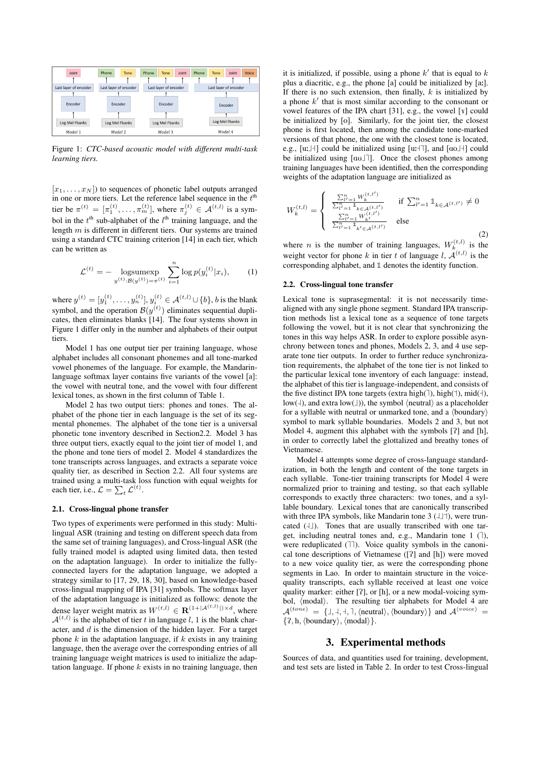

Figure 1: *CTC-based acoustic model with different multi-task learning tiers.*

 $[x_1, \ldots, x_N]$  to sequences of phonetic label outputs arranged in one or more tiers. Let the reference label sequence in the  $t<sup>th</sup>$ tier be  $\pi^{(t)} = [\pi_1^{(t)}, \dots, \pi_m^{(t)}]$ , where  $\pi_j^{(t)} \in \mathcal{A}^{(t,l)}$  is a symbol in the  $t<sup>th</sup>$  sub-alphabet of the  $l<sup>th</sup>$  training language, and the length  $m$  is different in different tiers. Our systems are trained using a standard CTC training criterion [14] in each tier, which can be written as

$$
\mathcal{L}^{(t)} = -\ \frac{\log \text{sumexp}}{y^{(t)} \cdot \mathcal{B}(y^{(t)}) = \pi^{(t)}} \sum_{i=1}^{n} \log p(y_i^{(t)} | x_i), \tag{1}
$$

where  $y^{(t)} = [y_1^{(t)}, \dots, y_n^{(t)}], y_i^{(t)} \in \mathcal{A}^{(t,l)} \cup \{b\}, b$  is the blank symbol, and the operation  $\mathcal{B}(y^{(t)})$  eliminates sequential duplicates, then eliminates blanks [14]. The four systems shown in Figure 1 differ only in the number and alphabets of their output tiers.

Model 1 has one output tier per training language, whose alphabet includes all consonant phonemes and all tone-marked vowel phonemes of the language. For example, the Mandarinlanguage softmax layer contains five variants of the vowel [a]: the vowel with neutral tone, and the vowel with four different lexical tones, as shown in the first column of Table 1.

Model 2 has two output tiers: phones and tones. The alphabet of the phone tier in each language is the set of its segmental phonemes. The alphabet of the tone tier is a universal phonetic tone inventory described in Section2.2. Model 3 has three output tiers, exactly equal to the joint tier of model 1, and the phone and tone tiers of model 2. Model 4 standardizes the tone transcripts across languages, and extracts a separate voice quality tier, as described in Section 2.2. All four systems are trained using a multi-task loss function with equal weights for each tier, i.e.,  $\mathcal{L} = \sum_t \mathcal{L}^{(t)}$ .

#### 2.1. Cross-lingual phone transfer

Two types of experiments were performed in this study: Multilingual ASR (training and testing on different speech data from the same set of training languages), and Cross-lingual ASR (the fully trained model is adapted using limited data, then tested on the adaptation language). In order to initialize the fullyconnected layers for the adaptation language, we adopted a strategy similar to [17, 29, 18, 30], based on knowledge-based cross-lingual mapping of IPA [31] symbols. The softmax layer of the adaptation language is initialized as follows: denote the dense layer weight matrix as  $W^{(t,l)} \in \mathbf{R}^{(1+|\mathcal{A}^{(t,l)}|) \times d}$ , where  $\mathcal{A}^{(t,l)}$  is the alphabet of tier t in language l, 1 is the blank character, and  $d$  is the dimension of the hidden layer. For a target phone  $k$  in the adaptation language, if  $k$  exists in any training language, then the average over the corresponding entries of all training language weight matrices is used to initialize the adaptation language. If phone  $k$  exists in no training language, then

it is initialized, if possible, using a phone  $k'$  that is equal to  $k$ plus a diacritic, e.g., the phone [a] could be initialized by [a:]. If there is no such extension, then finally,  $k$  is initialized by a phone  $k'$  that is most similar according to the consonant or vowel features of the IPA chart [31], e.g., the vowel [7] could be initialized by [o]. Similarly, for the joint tier, the closest phone is first located, then among the candidate tone-marked versions of that phone, the one with the closest tone is located, e.g., [u: $\ket{\dagger}$ ] could be initialized using [u: $\ket{\dagger}$ ], and [ao $\ket{\dagger}$ ] could  $E, g, [u, \bot]$  could be initialized using  $[u, \bot]$ , and  $[u\cup \bot]$  could<br>be initialized using  $[a\cup \bot]$ . Once the closest phones among training languages have been identified, then the corresponding weights of the adaptation language are initialized as

$$
W_k^{(t,l)} = \begin{cases} \frac{\sum_{l'=1}^n W_k^{(t,l')}}{\sum_{l'=1}^n \mathbb{1}_{k \in \mathcal{A}(t,l')}} & \text{if } \sum_{l'=1}^n \mathbb{1}_{k \in \mathcal{A}(t,l')} \neq 0\\ \frac{\sum_{l'=1}^n W_{k'}^{(t,l')}}{\sum_{l'=1}^n \mathbb{1}_{k' \in \mathcal{A}(t,l')}} & \text{else} \end{cases}
$$
(2)

where *n* is the number of training languages,  $W_k^{(t,l)}$  is the weight vector for phone k in tier t of language l,  $A^{(t,l)}$  is the corresponding alphabet, and **1** denotes the identity function.

#### 2.2. Cross-lingual tone transfer

Lexical tone is suprasegmental: it is not necessarily timealigned with any single phone segment. Standard IPA transcription methods list a lexical tone as a sequence of tone targets following the vowel, but it is not clear that synchronizing the tones in this way helps ASR. In order to explore possible asynchrony between tones and phones, Models 2, 3, and 4 use separate tone tier outputs. In order to further reduce synchronization requirements, the alphabet of the tone tier is not linked to the particular lexical tone inventory of each language: instead, the alphabet of this tier is language-independent, and consists of the alphabet of this tief is language-independent, and consists of the five distinct IPA tone targets (extra high( $\exists$ ), high( $\exists$ ), mid( $\exists$ ), low( $\downarrow$ ), and extra low( $\downarrow$ )), the symbol  $\langle$  neutral $\rangle$  as a placeholder for a syllable with neutral or unmarked tone, and a  $\langle$ boundary $\rangle$ symbol to mark syllable boundaries. Models 2 and 3, but not Model 4, augment this alphabet with the symbols [?] and [h], in order to correctly label the glottalized and breathy tones of Vietnamese.

Model 4 attempts some degree of cross-language standardization, in both the length and content of the tone targets in each syllable. Tone-tier training transcripts for Model 4 were normalized prior to training and testing, so that each syllable corresponds to exactly three characters: two tones, and a syllable boundary. Lexical tones that are canonically transcribed with three IPA symbols, like Mandarin tone  $3$   $(\perp \perp)$ , were truncated  $(\Box)$ . Tones that are usually transcribed with one tarexercisely, including neutral tones and, e.g., Mandarin tone 1 ( $\Box$ ),  $\Box$ get, including neutral tones and, e.g., Mandarin tone  $Y(1)$ ,<br>were reduplicated ( $\neg$ ). Voice quality symbols in the canonical tone descriptions of Vietnamese ([P] and [h]) were moved to a new voice quality tier, as were the corresponding phone segments in Lao. In order to maintain structure in the voicequality transcripts, each syllable received at least one voice quality marker: either  $[?]$ , or  $[h]$ , or a new modal-voicing symbol,  $\langle$  modal $\rangle$ . The resulting tier alphabets for Model 4 are  $A^{(tone)} = \{1, 1, 1, 1, (neutral), (boundary)\}$  and  $A^{(voice)} =$  $\{?, h, \langle boundary \rangle, \langle modal \rangle\}.$ 

### 3. Experimental methods

Sources of data, and quantities used for training, development, and test sets are listed in Table 2. In order to test Cross-lingual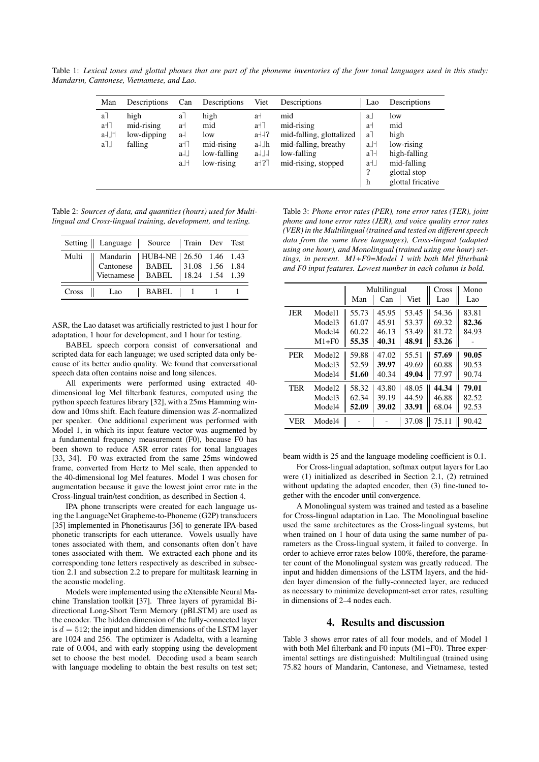Table 1: *Lexical tones and glottal phones that are part of the phoneme inventories of the four tonal languages used in this study: Mandarin, Cantonese, Vietnamese, and Lao.*

| Man                               | Descriptions                                 | Can                                                                                  | Descriptions                                                  | Viet                                                     | Descriptions                                                                                                | Lao                                                                                                                                  | Descriptions                                                                                         |
|-----------------------------------|----------------------------------------------|--------------------------------------------------------------------------------------|---------------------------------------------------------------|----------------------------------------------------------|-------------------------------------------------------------------------------------------------------------|--------------------------------------------------------------------------------------------------------------------------------------|------------------------------------------------------------------------------------------------------|
| $a-1$<br>$a + 7$<br>$a + 1$<br>a∃ | high<br>mid-rising<br>low-dipping<br>falling | a <sup>7</sup><br>a⊣<br>a-l<br>$a + 7$<br>$a +$<br>$a$ <sup><math>\perp</math></sup> | high<br>mid<br>low<br>mid-rising<br>low-falling<br>low-rising | a⊣<br>$a + 7$<br>$a + 1$ ?<br>a⊣⊥h<br>$a + 1$<br>$a+2$ ] | mid<br>mid-rising<br>mid-falling, glottalized<br>mid-falling, breathy<br>low-falling<br>mid-rising, stopped | a<br>a <sup>-1</sup><br>$a-1$<br>$a$ <sup><math>\perp</math></sup><br>$a$ <sup><math>\exists</math></sup> $\exists$<br>a⊣⊥<br>?<br>h | low<br>mid<br>high<br>low-rising<br>high-falling<br>mid-falling<br>glottal stop<br>glottal fricative |

Table 2: *Sources of data, and quantities (hours) used for Multilingual and Cross-lingual training, development, and testing.*

|       | Setting    Language   Source   Train Dev Test                                           |                           |        |  |
|-------|-----------------------------------------------------------------------------------------|---------------------------|--------|--|
| Multi | Mandarin<br>Cantonese   BABEL   31.08 1.56 1.84<br>Vietnamese   BABEL   18.24 1.54 1.39 | HUB4-NE   26.50 1.46 1.43 |        |  |
| Cross | Lao                                                                                     | BABEL                     | $\Box$ |  |

ASR, the Lao dataset was artificially restricted to just 1 hour for adaptation, 1 hour for development, and 1 hour for testing.

BABEL speech corpora consist of conversational and scripted data for each language; we used scripted data only because of its better audio quality. We found that conversational speech data often contains noise and long silences.

All experiments were performed using extracted 40 dimensional log Mel filterbank features, computed using the python speech features library [32], with a 25ms Hamming window and 10ms shift. Each feature dimension was Z-normalized per speaker. One additional experiment was performed with Model 1, in which its input feature vector was augmented by a fundamental frequency measurement (F0), because F0 has been shown to reduce ASR error rates for tonal languages [33, 34]. F0 was extracted from the same 25ms windowed frame, converted from Hertz to Mel scale, then appended to the 40-dimensional log Mel features. Model 1 was chosen for augmentation because it gave the lowest joint error rate in the Cross-lingual train/test condition, as described in Section 4.

IPA phone transcripts were created for each language using the LanguageNet Grapheme-to-Phoneme (G2P) transducers [35] implemented in Phonetisaurus [36] to generate IPA-based phonetic transcripts for each utterance. Vowels usually have tones associated with them, and consonants often don't have tones associated with them. We extracted each phone and its corresponding tone letters respectively as described in subsection 2.1 and subsection 2.2 to prepare for multitask learning in the acoustic modeling.

Models were implemented using the eXtensible Neural Machine Translation toolkit [37]. Three layers of pyramidal Bidirectional Long-Short Term Memory (pBLSTM) are used as the encoder. The hidden dimension of the fully-connected layer is  $d = 512$ ; the input and hidden dimensions of the LSTM layer are 1024 and 256. The optimizer is Adadelta, with a learning rate of 0.004, and with early stopping using the development set to choose the best model. Decoding used a beam search with language modeling to obtain the best results on test set;

Table 3: *Phone error rates (PER), tone error rates (TER), joint phone and tone error rates (JER), and voice quality error rates (VER) in the Multilingual (trained and tested on different speech data from the same three languages), Cross-lingual (adapted using one hour), and Monolingual (trained using one hour) settings, in percent. M1+F0=Model 1 with both Mel filterbank and F0 input features. Lowest number in each column is bold.*

|            |                    |       | Multilingual | Cross | Mono  |       |
|------------|--------------------|-------|--------------|-------|-------|-------|
|            |                    | Man   | Can          | Viet  | Lao   | Lao   |
| JER        | Model1             | 55.73 | 45.95        | 53.45 | 54.36 | 83.81 |
|            | Model3             | 61.07 | 45.91        | 53.37 | 69.32 | 82.36 |
|            | Model4             | 60.22 | 46.13        | 53.49 | 81.72 | 84.93 |
|            | $M1 + F0$          | 55.35 | 40.31        | 48.91 | 53.26 |       |
| <b>PER</b> | Model <sub>2</sub> | 59.88 | 47.02        | 55.51 | 57.69 | 90.05 |
|            | Model3             | 52.59 | 39.97        | 49.69 | 60.88 | 90.53 |
|            | Model4             | 51.60 | 40.34        | 49.04 | 77.97 | 90.74 |
| <b>TER</b> | Model <sub>2</sub> | 58.32 | 43.80        | 48.05 | 44.34 | 79.01 |
|            | Model3             | 62.34 | 39.19        | 44.59 | 46.88 | 82.52 |
|            | Model4             | 52.09 | 39.02        | 33.91 | 68.04 | 92.53 |
| VER        | Model4             |       |              | 37.08 | 75.11 | 90.42 |

beam width is 25 and the language modeling coefficient is 0.1.

For Cross-lingual adaptation, softmax output layers for Lao were (1) initialized as described in Section 2.1, (2) retrained without updating the adapted encoder, then (3) fine-tuned together with the encoder until convergence.

A Monolingual system was trained and tested as a baseline for Cross-lingual adaptation in Lao. The Monolingual baseline used the same architectures as the Cross-lingual systems, but when trained on 1 hour of data using the same number of parameters as the Cross-lingual system, it failed to converge. In order to achieve error rates below 100%, therefore, the parameter count of the Monolingual system was greatly reduced. The input and hidden dimensions of the LSTM layers, and the hidden layer dimension of the fully-connected layer, are reduced as necessary to minimize development-set error rates, resulting in dimensions of 2–4 nodes each.

## 4. Results and discussion

Table 3 shows error rates of all four models, and of Model 1 with both Mel filterbank and F0 inputs (M1+F0). Three experimental settings are distinguished: Multilingual (trained using 75.82 hours of Mandarin, Cantonese, and Vietnamese, tested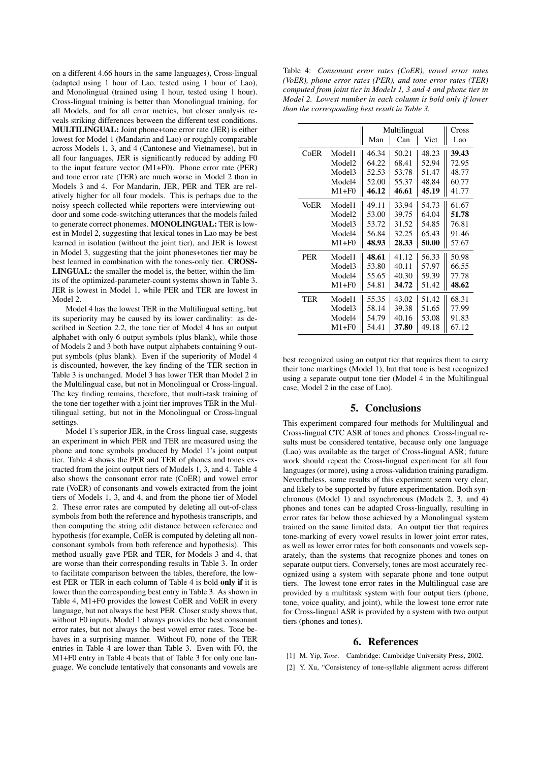on a different 4.66 hours in the same languages), Cross-lingual (adapted using 1 hour of Lao, tested using 1 hour of Lao), and Monolingual (trained using 1 hour, tested using 1 hour). Cross-lingual training is better than Monolingual training, for all Models, and for all error metrics, but closer analysis reveals striking differences between the different test conditions. MULTILINGUAL: Joint phone+tone error rate (JER) is either lowest for Model 1 (Mandarin and Lao) or roughly comparable across Models 1, 3, and 4 (Cantonese and Vietnamese), but in all four languages, JER is significantly reduced by adding F0 to the input feature vector (M1+F0). Phone error rate (PER) and tone error rate (TER) are much worse in Model 2 than in Models 3 and 4. For Mandarin, JER, PER and TER are relatively higher for all four models. This is perhaps due to the noisy speech collected while reporters were interviewing outdoor and some code-switching utterances that the models failed to generate correct phonemes. MONOLINGUAL: TER is lowest in Model 2, suggesting that lexical tones in Lao may be best learned in isolation (without the joint tier), and JER is lowest in Model 3, suggesting that the joint phones+tones tier may be best learned in combination with the tones-only tier. CROSS-LINGUAL: the smaller the model is, the better, within the limits of the optimized-parameter-count systems shown in Table 3. JER is lowest in Model 1, while PER and TER are lowest in Model 2.

Model 4 has the lowest TER in the Multilingual setting, but its superiority may be caused by its lower cardinality: as described in Section 2.2, the tone tier of Model 4 has an output alphabet with only 6 output symbols (plus blank), while those of Models 2 and 3 both have output alphabets containing 9 output symbols (plus blank). Even if the superiority of Model 4 is discounted, however, the key finding of the TER section in Table 3 is unchanged. Model 3 has lower TER than Model 2 in the Multilingual case, but not in Monolingual or Cross-lingual. The key finding remains, therefore, that multi-task training of the tone tier together with a joint tier improves TER in the Multilingual setting, but not in the Monolingual or Cross-lingual settings.

Model 1's superior JER, in the Cross-lingual case, suggests an experiment in which PER and TER are measured using the phone and tone symbols produced by Model 1's joint output tier. Table 4 shows the PER and TER of phones and tones extracted from the joint output tiers of Models 1, 3, and 4. Table 4 also shows the consonant error rate (CoER) and vowel error rate (VoER) of consonants and vowels extracted from the joint tiers of Models 1, 3, and 4, and from the phone tier of Model 2. These error rates are computed by deleting all out-of-class symbols from both the reference and hypothesis transcripts, and then computing the string edit distance between reference and hypothesis (for example, CoER is computed by deleting all nonconsonant symbols from both reference and hypothesis). This method usually gave PER and TER, for Models 3 and 4, that are worse than their corresponding results in Table 3. In order to facilitate comparison between the tables, therefore, the lowest PER or TER in each column of Table 4 is bold only if it is lower than the corresponding best entry in Table 3. As shown in Table 4, M1+F0 provides the lowest CoER and VoER in every language, but not always the best PER. Closer study shows that, without F0 inputs, Model 1 always provides the best consonant error rates, but not always the best vowel error rates. Tone behaves in a surprising manner. Without F0, none of the TER entries in Table 4 are lower than Table 3. Even with F0, the M1+F0 entry in Table 4 beats that of Table 3 for only one language. We conclude tentatively that consonants and vowels are

Table 4: *Consonant error rates (CoER), vowel error rates (VoER), phone error rates (PER), and tone error rates (TER) computed from joint tier in Models 1, 3 and 4 and phone tier in Model 2. Lowest number in each column is bold only if lower than the corresponding best result in Table 3.*

|            |                    | Multilingual | Cross |       |       |
|------------|--------------------|--------------|-------|-------|-------|
|            |                    | Man          | Can   | Viet  | Lao   |
| CoER       | Model1             | 46.34        | 50.21 | 48.23 | 39.43 |
|            | Model <sub>2</sub> | 64.22        | 68.41 | 52.94 | 72.95 |
|            | Model <sub>3</sub> | 52.53        | 53.78 | 51.47 | 48.77 |
|            | Model4             | 52.00        | 55.37 | 48.84 | 60.77 |
|            | $M1 + F0$          | 46.12        | 46.61 | 45.19 | 41.77 |
| VoER       | Model1             | 49.11        | 33.94 | 54.73 | 61.67 |
|            | Model <sub>2</sub> | 53.00        | 39.75 | 64.04 | 51.78 |
|            | Model3             | 53.72        | 31.52 | 54.85 | 76.81 |
|            | Model4             | 56.84        | 32.25 | 65.43 | 91.46 |
|            | $M1 + F0$          | 48.93        | 28.33 | 50.00 | 57.67 |
| <b>PER</b> | Model1             | 48.61        | 41.12 | 56.33 | 50.98 |
|            | Model <sub>3</sub> | 53.80        | 40.11 | 57.97 | 66.55 |
|            | Model4             | 55.65        | 40.30 | 59.39 | 77.78 |
|            | $M1 + F0$          | 54.81        | 34.72 | 51.42 | 48.62 |
| TER        | Model1             | 55.35        | 43.02 | 51.42 | 68.31 |
|            | Model <sub>3</sub> | 58.14        | 39.38 | 51.65 | 77.99 |
|            | Model4             | 54.79        | 40.16 | 53.08 | 91.83 |
|            | $M1 + F0$          | 54.41        | 37.80 | 49.18 | 67.12 |

best recognized using an output tier that requires them to carry their tone markings (Model 1), but that tone is best recognized using a separate output tone tier (Model 4 in the Multilingual case, Model 2 in the case of Lao).

#### 5. Conclusions

This experiment compared four methods for Multilingual and Cross-lingual CTC ASR of tones and phones. Cross-lingual results must be considered tentative, because only one language (Lao) was available as the target of Cross-lingual ASR; future work should repeat the Cross-lingual experiment for all four languages (or more), using a cross-validation training paradigm. Nevertheless, some results of this experiment seem very clear, and likely to be supported by future experimentation. Both synchronous (Model 1) and asynchronous (Models 2, 3, and 4) phones and tones can be adapted Cross-lingually, resulting in error rates far below those achieved by a Monolingual system trained on the same limited data. An output tier that requires tone-marking of every vowel results in lower joint error rates, as well as lower error rates for both consonants and vowels separately, than the systems that recognize phones and tones on separate output tiers. Conversely, tones are most accurately recognized using a system with separate phone and tone output tiers. The lowest tone error rates in the Multilingual case are provided by a multitask system with four output tiers (phone, tone, voice quality, and joint), while the lowest tone error rate for Cross-lingual ASR is provided by a system with two output tiers (phones and tones).

#### 6. References

- [1] M. Yip, *Tone*. Cambridge: Cambridge University Press, 2002.
- [2] Y. Xu, "Consistency of tone-syllable alignment across different